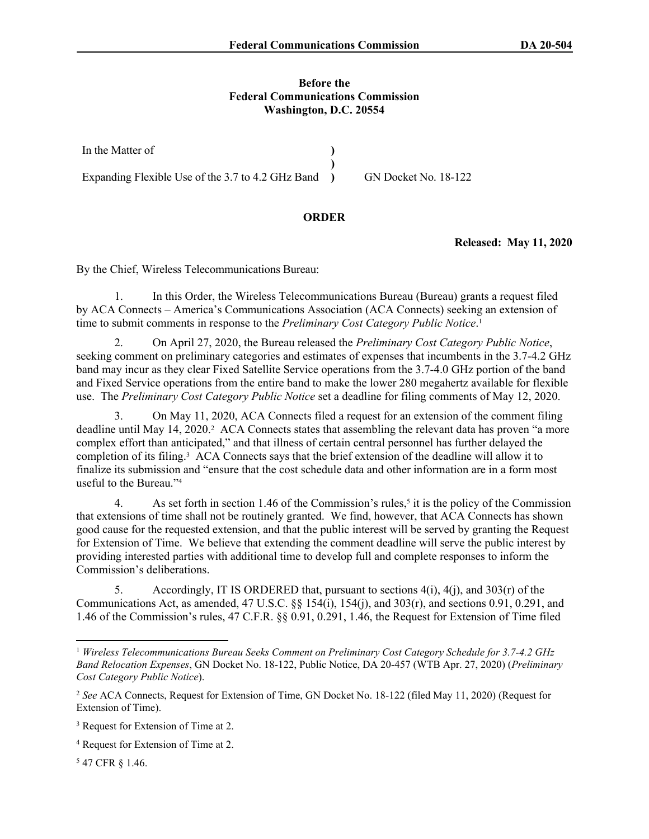## **Before the Federal Communications Commission Washington, D.C. 20554**

In the Matter of Expanding Flexible Use of the 3.7 to 4.2 GHz Band  $\rightarrow$ **) ) )** GN Docket No. 18-122

## **ORDER**

**Released: May 11, 2020**

By the Chief, Wireless Telecommunications Bureau:

1. In this Order, the Wireless Telecommunications Bureau (Bureau) grants a request filed by ACA Connects – America's Communications Association (ACA Connects) seeking an extension of time to submit comments in response to the *Preliminary Cost Category Public Notice*. 1

2. On April 27, 2020, the Bureau released the *Preliminary Cost Category Public Notice*, seeking comment on preliminary categories and estimates of expenses that incumbents in the 3.7-4.2 GHz band may incur as they clear Fixed Satellite Service operations from the 3.7-4.0 GHz portion of the band and Fixed Service operations from the entire band to make the lower 280 megahertz available for flexible use. The *Preliminary Cost Category Public Notice* set a deadline for filing comments of May 12, 2020.

3. On May 11, 2020, ACA Connects filed a request for an extension of the comment filing deadline until May 14, 2020.<sup>2</sup> ACA Connects states that assembling the relevant data has proven "a more complex effort than anticipated," and that illness of certain central personnel has further delayed the completion of its filing.<sup>3</sup> ACA Connects says that the brief extension of the deadline will allow it to finalize its submission and "ensure that the cost schedule data and other information are in a form most useful to the Bureau."<sup>4</sup>

4. As set forth in section 1.46 of the Commission's rules,<sup>5</sup> it is the policy of the Commission that extensions of time shall not be routinely granted. We find, however, that ACA Connects has shown good cause for the requested extension, and that the public interest will be served by granting the Request for Extension of Time. We believe that extending the comment deadline will serve the public interest by providing interested parties with additional time to develop full and complete responses to inform the Commission's deliberations.

5. Accordingly, IT IS ORDERED that, pursuant to sections  $4(i)$ ,  $4(i)$ , and  $303(r)$  of the Communications Act, as amended,  $47 \text{ U.S.C. }$  §§  $154(i)$ ,  $154(i)$ , and  $303(r)$ , and sections 0.91, 0.291, and 1.46 of the Commission's rules, 47 C.F.R. §§ 0.91, 0.291, 1.46, the Request for Extension of Time filed

5 47 CFR § 1.46.

<sup>1</sup> *Wireless Telecommunications Bureau Seeks Comment on Preliminary Cost Category Schedule for 3.7-4.2 GHz Band Relocation Expenses*, GN Docket No. 18-122, Public Notice, DA 20-457 (WTB Apr. 27, 2020) (*Preliminary Cost Category Public Notice*).

<sup>&</sup>lt;sup>2</sup> See ACA Connects, Request for Extension of Time, GN Docket No. 18-122 (filed May 11, 2020) (Request for Extension of Time).

<sup>&</sup>lt;sup>3</sup> Request for Extension of Time at 2.

<sup>4</sup> Request for Extension of Time at 2.